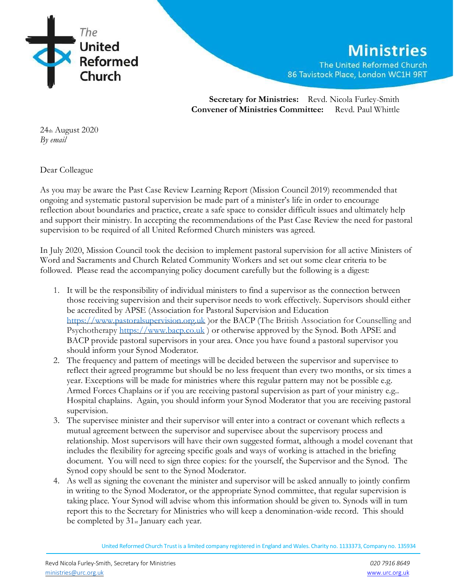

 **Secretary for Ministries:** Revd. Nicola Furley-Smith **Convener of Ministries Committee:** Revd. Paul Whittle

24th August 2020 *By email*

Dear Colleague

As you may be aware the Past Case Review Learning Report (Mission Council 2019) recommended that ongoing and systematic pastoral supervision be made part of a minister's life in order to encourage reflection about boundaries and practice, create a safe space to consider difficult issues and ultimately help and support their ministry. In accepting the recommendations of the Past Case Review the need for pastoral supervision to be required of all United Reformed Church ministers was agreed.

In July 2020, Mission Council took the decision to implement pastoral supervision for all active Ministers of Word and Sacraments and Church Related Community Workers and set out some clear criteria to be followed. Please read the accompanying policy document carefully but the following is a digest:

- 1. It will be the responsibility of individual ministers to find a supervisor as the connection between those receiving supervision and their supervisor needs to work effectively. Supervisors should either be accredited by APSE (Association for Pastoral Supervision and Education [https://www.pastoralsupervision.org.uk](https://www.pastoralsupervision.org.uk/) )or the BACP (The British Association for Counselling and Psychotherapy [https://www.bacp.co.uk](https://www.bacp.co.uk/) ) or otherwise approved by the Synod. Both APSE and BACP provide pastoral supervisors in your area. Once you have found a pastoral supervisor you should inform your Synod Moderator.
- 2. The frequency and pattern of meetings will be decided between the supervisor and supervisee to reflect their agreed programme but should be no less frequent than every two months, or six times a year. Exceptions will be made for ministries where this regular pattern may not be possible e.g. Armed Forces Chaplains or if you are receiving pastoral supervision as part of your ministry e.g.. Hospital chaplains. Again, you should inform your Synod Moderator that you are receiving pastoral supervision.
- 3. The supervisee minister and their supervisor will enter into a contract or covenant which reflects a mutual agreement between the supervisor and supervisee about the supervisory process and relationship. Most supervisors will have their own suggested format, although a model covenant that includes the flexibility for agreeing specific goals and ways of working is attached in the briefing document. You will need to sign three copies: for the yourself, the Supervisor and the Synod. The Synod copy should be sent to the Synod Moderator.
- 4. As well as signing the covenant the minister and supervisor will be asked annually to jointly confirm in writing to the Synod Moderator, or the appropriate Synod committee, that regular supervision is taking place. Your Synod will advise whom this information should be given to. Synods will in turn report this to the Secretary for Ministries who will keep a denomination-wide record. This should be completed by 31st January each year.

United Reformed Church Trust is a limited company registered in England and Wales. Charity no. 1133373, Company no. 135934